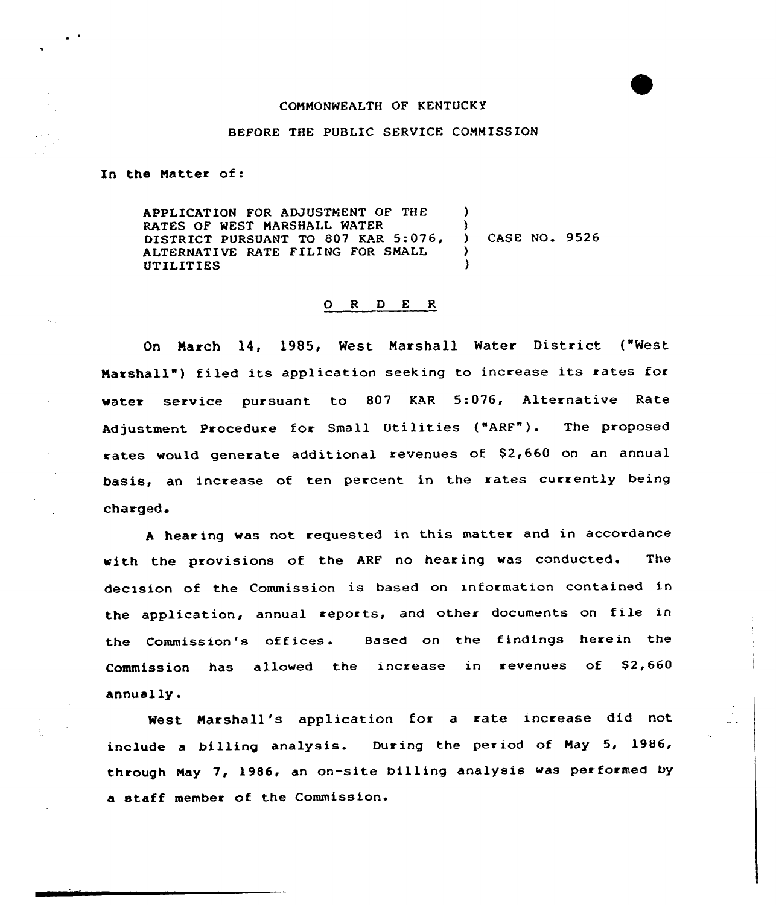### COMMONWEALTH OF KENTUCKY

## BEFORE THE PUBLIC SERVICE COMMISSION

In the Matter of:

APPLICATION FOR ADJUSTMENT OF THE RATES OF WEST MARSHALL WATER (3) DISTRICT PURSUANT TO 807 KAR 5:076, ) CASE NO. 9526<br>ALTERNATIVE RATE FILING FOR SMALL ALTERNATIVE RATE FILING FOR SMALL **UTILITIES** 

### 0 <sup>R</sup> <sup>D</sup> E <sup>R</sup>

On March 14, l985, West Marshall Water District ("West Marshall") filed its application seeking to increase its rates for water service pursuant to 807 KAR 5:076, Alternative Rate Adjustment Procedure for Small Utilities ("ARF"). The proposed rates would generate additional revenues of S2,660 on an annual basis, an increase of ten percent in the rates currently being charged,

<sup>A</sup> hearing was not requested in this matter and in accordance with the provisions of the ARF no hearing was conducted. The decision of the Commission is based on xnformation contained in the application, annual reports, and other documents on file in the Commission's offices. Based on the findings herein the Commission has allowed the increase in revenues of \$2,660 annually.

West Marshall's application for a rate increase did not include <sup>a</sup> billing analysis. During the period of May 5, 1986, through May 7, 1986, an on-site billing analysis was performed by a staff member of the Commission.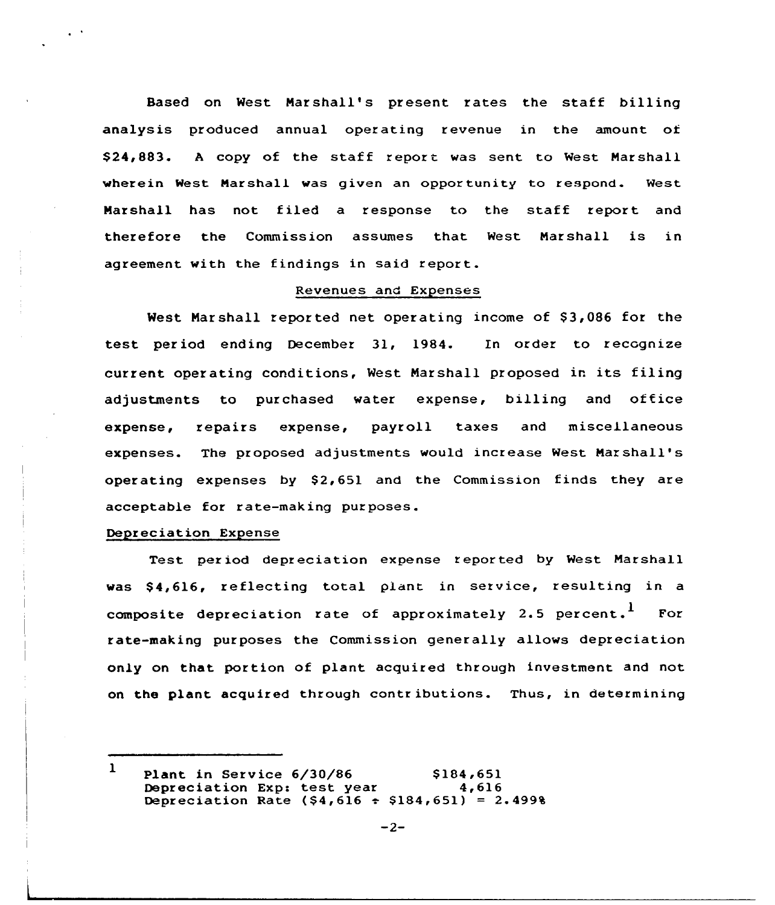Based on West Marshall's present rates the staff billing analysis produced annual operating revenue in the amount of  $$24, 883.$  A copy of the staff report was sent to West Marshall wherein West Marshall was given an opportunity to respond. West Marshall has not filed a response to the staff report and therefore the Commission assumes that West Marshall is in agreement with the findings in said report.

## Revenues and Expenses

West Marshall reported net operating income of \$3,086 for the test period ending December 31, 1984. In order to recognize current. operating conditions, West Narshall proposed in its filing adjustments to purchased water expense, billing and office expense, repairs expense, payroll taxes and miscellaneous expenses. The proposed adjustments would increase West Marshall's operating expenses by  $$2,651$  and the Commission finds they are acceptable for rate-making purposes.

# Depreciation Expense

Test period depreciation expense reported by West Marshall was \$4,616, reflecting total plant in service, resulting in a composite depreciation rate of approximately 2.5 percent.<sup>1</sup> For rate-making purposes the Commission generally allows depreciation only on that portion of plant acquired through investment and not on the plant acquired through contr ibutions. Thus, in determining

<sup>1</sup> Plant in Service  $6/30/86$  \$184,651<br>Depreciation Exp: test year  $4.616$ Depreciation Exp: test year Depreciation Rate  $( $4, 616 \div $184, 651 ) = 2.4998$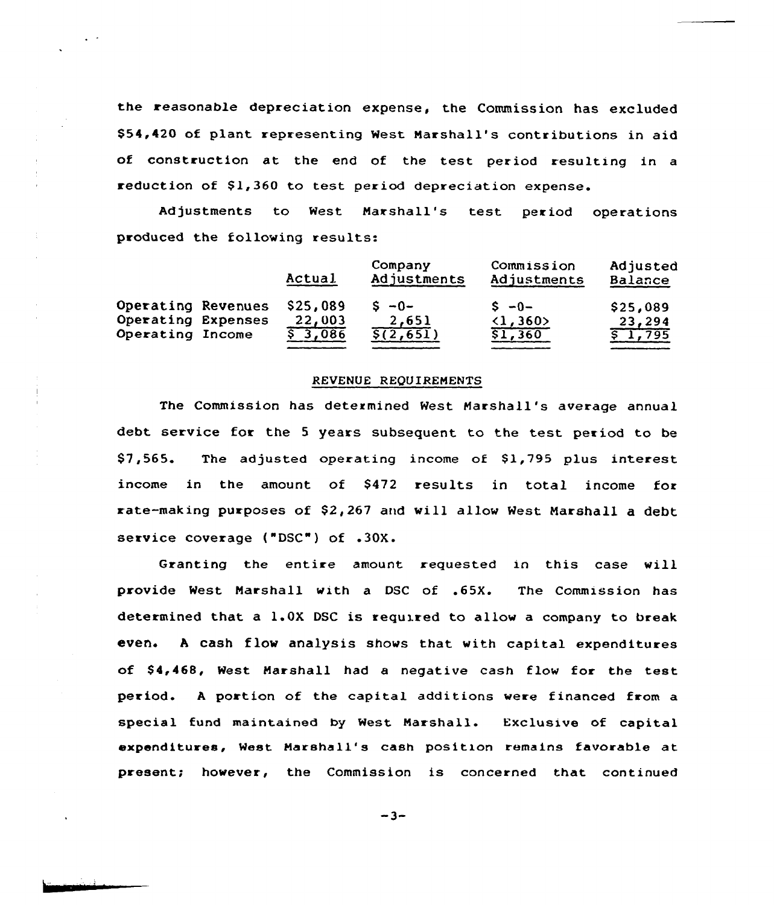the reasonable depreciation expense, the Commission has excluded \$54,420 of plant representing West Marshall's contributions in aid of construction at the end of the test period resulting in <sup>a</sup> reduction of  $$1,360$  to test period depreciation expense.

Adjustments to Nest Marshall's test period operations produced the following results:

|                    | Actual   | Company<br>Adjustments | Commission<br>Adjustments | Adjusted<br>Balance |
|--------------------|----------|------------------------|---------------------------|---------------------|
| Operating Revenues | \$25,089 | $S - 0 -$              | $S - 0 -$                 | \$25,089            |
| Operating Expenses | 22,003   | 2,651                  | $\langle 1, 360 \rangle$  | 23,294              |
| Operating Income   | 3,086    | $\sqrt{2,651}$         | \$1,360                   | \$1,795             |

## REVENUE REQUIREMENTS

The Commission has determined Nest Marshall's average annual debt service for the <sup>5</sup> years subsequent to the test period to be \$7,565. The adjusted operating income of \$1,795 plus interest income in the amount of \$472 results in total income for rate-making purposes of  $$2,267$  and will allow West Marshall a debt service coverage ("DSC") of .30X.

Granting the entire amount requested in this case will provide West Marshall with a DSC of .65X. The Commission has determined that a  $1.0X$  DSC is required to allow a company to break even. <sup>A</sup> cash flow analysis shows that with capital expenditures of \$ 4,468, West Marshall had a negative cash flow for the test period. <sup>A</sup> portion of the capital additions were financed from a special fund maintained by West Marshall. Exclusive of capital expenditures, West Narshall's cash position remains favorable at present; however, the Commission is concerned that continued

 $-3-$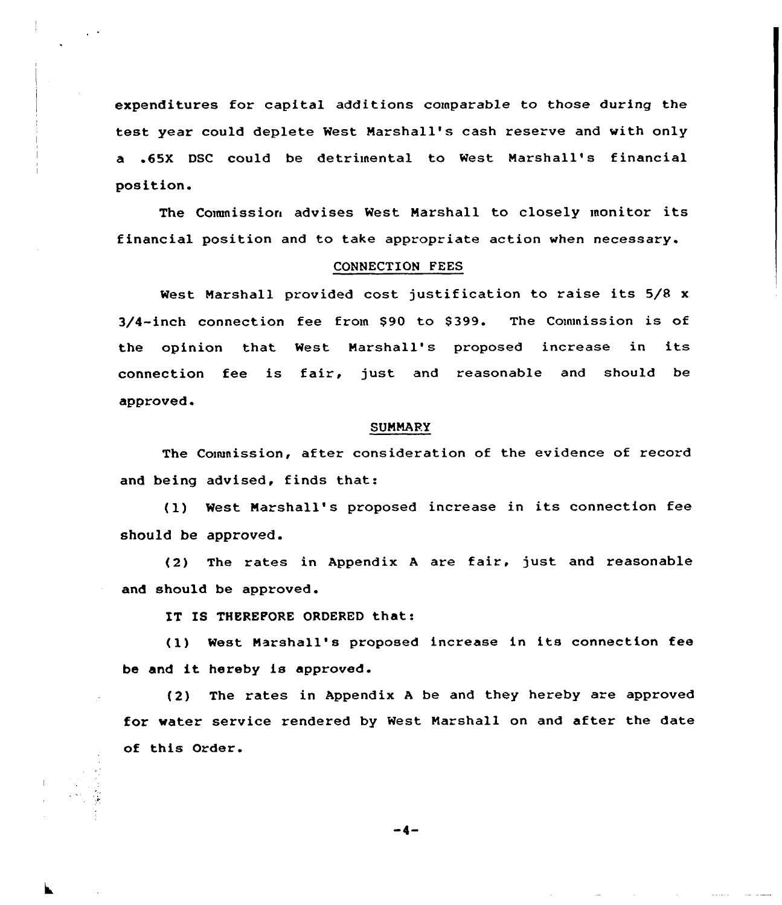expenditures for capital additions comparable to those during the test year could deplete West Marshall's cash reserve and with only a 65X DSC could be detrimental to West Narshall's financial position.

The Commission advises West Marshall to closely monitor its financial position and to take appropriate action when necessary.

# CONNECTION PEES

West Marshall provided cost justification to raise its 5/8 <sup>x</sup>  $3/4$ -inch connection fee from \$90 to \$399. The Commission is of the opinion that West Marshall's proposed increase in its connection fee is fair, just and reasonable and should be approved.

## **SUMMARY**

The Commission, after consideration of the evidence of record and being advised, finds that:

(1) West Marshall's proposed increase in its connection fee should be approved.

(2) The rates in Appendix A are fair, just and reasonable and should be approved.

IT IS THEREPORE ORDERED that:

(1) West Marshall's proposed increase in its connection fee be and it hereby is approved.

(2) The rates in Appendix <sup>A</sup> be and they hereby are approved for water service rendered by West Narshall on and after the date of this Order.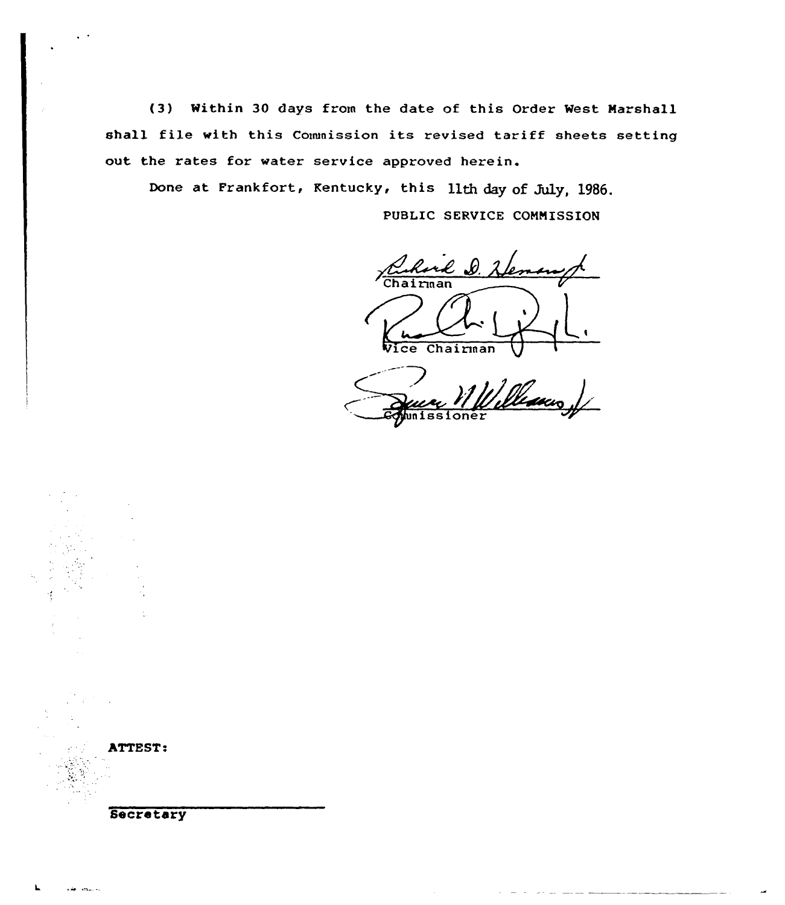(3} Within 30 days from the date of this Order West Marshall shall file with this Commission its revised tariff sheets setting out the rates for water service approved herein.

Done at Frankfort, Kentucky, this llth day of July, 1986.

PUBLIC SERVICE COMMISSION

Rubert D. Heman rj Vice Chairman

'illean